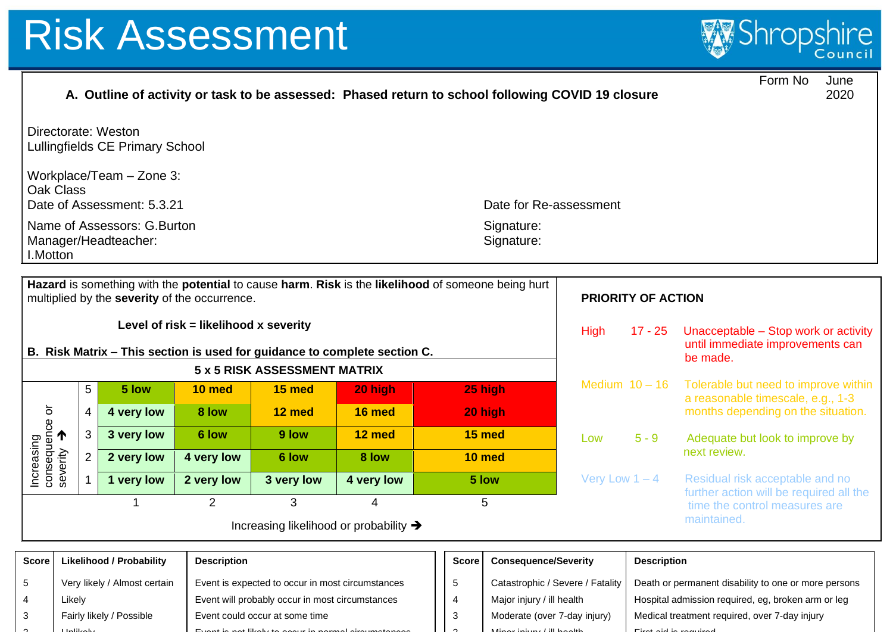ጎ

Unlikely



|                                                                                                      |                                                                                                                                                                                  |                         |                                 |                    |                                                  | A. Outline of activity or task to be assessed: Phased return to school following COVID 19 closure |                              |                                               |                  |                                                                                      | Form No<br>June<br>2020                                                  |  |
|------------------------------------------------------------------------------------------------------|----------------------------------------------------------------------------------------------------------------------------------------------------------------------------------|-------------------------|---------------------------------|--------------------|--------------------------------------------------|---------------------------------------------------------------------------------------------------|------------------------------|-----------------------------------------------|------------------|--------------------------------------------------------------------------------------|--------------------------------------------------------------------------|--|
|                                                                                                      | Directorate: Weston<br>Lullingfields CE Primary School                                                                                                                           |                         |                                 |                    |                                                  |                                                                                                   |                              |                                               |                  |                                                                                      |                                                                          |  |
| Workplace/Team - Zone 3:<br><b>Oak Class</b><br>Date of Assessment: 5.3.21<br>Date for Re-assessment |                                                                                                                                                                                  |                         |                                 |                    |                                                  |                                                                                                   |                              |                                               |                  |                                                                                      |                                                                          |  |
|                                                                                                      | Name of Assessors: G. Burton<br>Signature:<br>Signature:<br>Manager/Headteacher:<br>I.Motton                                                                                     |                         |                                 |                    |                                                  |                                                                                                   |                              |                                               |                  |                                                                                      |                                                                          |  |
|                                                                                                      | Hazard is something with the potential to cause harm. Risk is the likelihood of someone being hurt<br>multiplied by the severity of the occurrence.<br><b>PRIORITY OF ACTION</b> |                         |                                 |                    |                                                  |                                                                                                   |                              |                                               |                  |                                                                                      |                                                                          |  |
|                                                                                                      | Level of risk = likelihood x severity<br>B. Risk Matrix - This section is used for guidance to complete section C.                                                               |                         |                                 |                    |                                                  |                                                                                                   |                              | <b>High</b>                                   | $17 - 25$        | Unacceptable - Stop work or activity<br>until immediate improvements can<br>be made. |                                                                          |  |
|                                                                                                      |                                                                                                                                                                                  |                         |                                 |                    | 5 x 5 RISK ASSESSMENT MATRIX                     |                                                                                                   |                              |                                               |                  | Medium $10 - 16$                                                                     | Tolerable but need to improve within                                     |  |
|                                                                                                      |                                                                                                                                                                                  | 5                       | 5 low                           | 10 med             | 15 med                                           | 20 high                                                                                           |                              | 25 high                                       |                  |                                                                                      | a reasonable timescale, e.g., 1-3                                        |  |
|                                                                                                      |                                                                                                                                                                                  | $\overline{\mathbf{4}}$ | 4 very low                      | 8 low              | 12 med                                           | 16 med                                                                                            |                              | 20 high                                       |                  |                                                                                      | months depending on the situation.                                       |  |
|                                                                                                      |                                                                                                                                                                                  | $\mathbf{3}$            | 3 very low                      | 6 low              | 9 low                                            | 12 med                                                                                            |                              | 15 med                                        | Low              | $5 - 9$                                                                              | Adequate but look to improve by                                          |  |
|                                                                                                      | $\overline{2}$                                                                                                                                                                   |                         | 2 very low                      | 4 very low         | 6 low                                            | 8 low                                                                                             |                              | 10 med                                        |                  |                                                                                      | next review.                                                             |  |
| Increasing<br>consequence or<br>severity                                                             |                                                                                                                                                                                  | $\mathbf{1}$            | 1 very low                      | 2 very low         | 3 very low                                       | 4 very low                                                                                        |                              | 5 low                                         | Very Low $1 - 4$ |                                                                                      | Residual risk acceptable and no                                          |  |
|                                                                                                      |                                                                                                                                                                                  |                         | 1                               | 2                  | 3                                                | 4                                                                                                 |                              | 5                                             |                  |                                                                                      | further action will be required all the<br>time the control measures are |  |
|                                                                                                      | maintained.<br>Increasing likelihood or probability →                                                                                                                            |                         |                                 |                    |                                                  |                                                                                                   |                              |                                               |                  |                                                                                      |                                                                          |  |
| <b>Score</b>                                                                                         |                                                                                                                                                                                  |                         | <b>Likelihood / Probability</b> | <b>Description</b> |                                                  |                                                                                                   | <b>Score</b>                 | <b>Consequence/Severity</b>                   |                  | <b>Description</b>                                                                   |                                                                          |  |
| 5                                                                                                    |                                                                                                                                                                                  |                         | Very likely / Almost certain    |                    | Event is expected to occur in most circumstances |                                                                                                   | 5                            | Catastrophic / Severe / Fatality              |                  | Death or permanent disability to one or more persons                                 |                                                                          |  |
| Likely<br>4                                                                                          |                                                                                                                                                                                  |                         |                                 |                    | Event will probably occur in most circumstances  |                                                                                                   |                              | Major injury / ill health                     |                  | Hospital admission required, eg, broken arm or leg                                   |                                                                          |  |
| Fairly likely / Possible<br>3                                                                        |                                                                                                                                                                                  |                         |                                 |                    | Event could occur at some time                   | 3                                                                                                 | Moderate (over 7-day injury) | Medical treatment required, over 7-day injury |                  |                                                                                      |                                                                          |  |

ሳ

Minor injury / ill health First aid is required

Event is not likely to occur in normal circumstances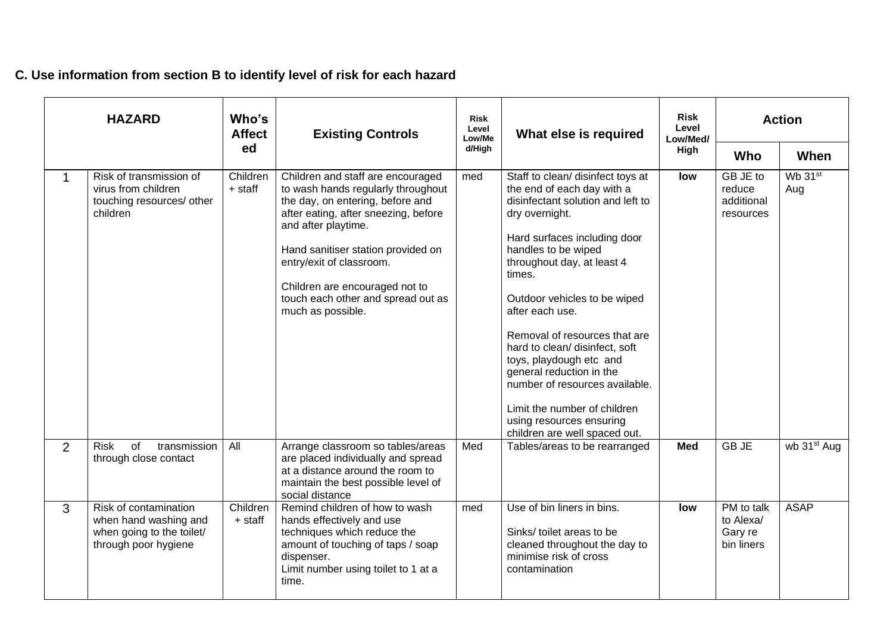## **C. Use information from section B to identify level of risk for each hazard**

| <b>HAZARD</b> |                                                                                                     | Who's<br><b>Affect</b> | <b>Existing Controls</b>                                                                                                                                                                                                                                                                                                                  | <b>Risk</b><br>Level<br>Low/Me | What else is required                                                                                                                                                                                                                                                                                                                                                                                                                                                                                                             | <b>Risk</b><br>Level<br>Low/Med/ | <b>Action</b>                                    |                         |
|---------------|-----------------------------------------------------------------------------------------------------|------------------------|-------------------------------------------------------------------------------------------------------------------------------------------------------------------------------------------------------------------------------------------------------------------------------------------------------------------------------------------|--------------------------------|-----------------------------------------------------------------------------------------------------------------------------------------------------------------------------------------------------------------------------------------------------------------------------------------------------------------------------------------------------------------------------------------------------------------------------------------------------------------------------------------------------------------------------------|----------------------------------|--------------------------------------------------|-------------------------|
|               |                                                                                                     | ed                     |                                                                                                                                                                                                                                                                                                                                           | d/High                         |                                                                                                                                                                                                                                                                                                                                                                                                                                                                                                                                   | High                             | Who                                              | When                    |
| 1             | Risk of transmission of<br>virus from children<br>touching resources/ other<br>children             | Children<br>+ staff    | Children and staff are encouraged<br>to wash hands regularly throughout<br>the day, on entering, before and<br>after eating, after sneezing, before<br>and after playtime.<br>Hand sanitiser station provided on<br>entry/exit of classroom.<br>Children are encouraged not to<br>touch each other and spread out as<br>much as possible. | med                            | Staff to clean/ disinfect toys at<br>the end of each day with a<br>disinfectant solution and left to<br>dry overnight.<br>Hard surfaces including door<br>handles to be wiped<br>throughout day, at least 4<br>times.<br>Outdoor vehicles to be wiped<br>after each use.<br>Removal of resources that are<br>hard to clean/ disinfect, soft<br>toys, playdough etc and<br>general reduction in the<br>number of resources available.<br>Limit the number of children<br>using resources ensuring<br>children are well spaced out. | low                              | GB JE to<br>reduce<br>additional<br>resources    | Wb 31st<br>Aug          |
| 2             | <b>Risk</b><br>of<br>transmission<br>through close contact                                          | All                    | Arrange classroom so tables/areas<br>are placed individually and spread<br>at a distance around the room to<br>maintain the best possible level of<br>social distance                                                                                                                                                                     | Med                            | Tables/areas to be rearranged                                                                                                                                                                                                                                                                                                                                                                                                                                                                                                     | <b>Med</b>                       | <b>GBJE</b>                                      | wb 31 <sup>st</sup> Aug |
| 3             | Risk of contamination<br>when hand washing and<br>when going to the toilet/<br>through poor hygiene | Children<br>+ staff    | Remind children of how to wash<br>hands effectively and use<br>techniques which reduce the<br>amount of touching of taps / soap<br>dispenser.<br>Limit number using toilet to 1 at a<br>time.                                                                                                                                             | med                            | Use of bin liners in bins.<br>Sinks/ toilet areas to be<br>cleaned throughout the day to<br>minimise risk of cross<br>contamination                                                                                                                                                                                                                                                                                                                                                                                               | low                              | PM to talk<br>to Alexa/<br>Gary re<br>bin liners | <b>ASAP</b>             |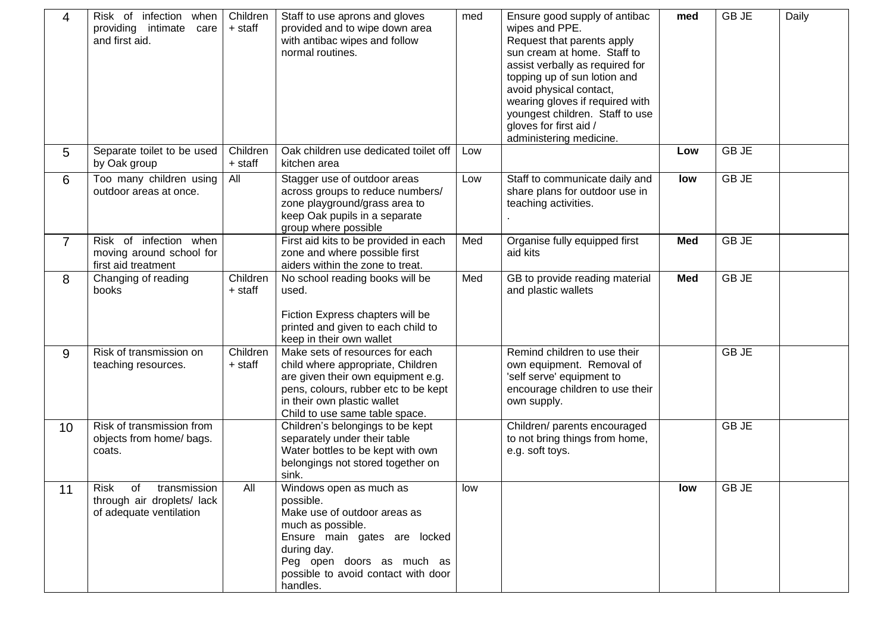| 4              | Risk of infection when<br>providing intimate<br>care<br>and first aid.        | Children<br>+ staff | Staff to use aprons and gloves<br>provided and to wipe down area<br>with antibac wipes and follow<br>normal routines.                                                                                                    | med | Ensure good supply of antibac<br>wipes and PPE.<br>Request that parents apply<br>sun cream at home. Staff to<br>assist verbally as required for<br>topping up of sun lotion and<br>avoid physical contact,<br>wearing gloves if required with<br>youngest children. Staff to use<br>gloves for first aid /<br>administering medicine. | med        | <b>GBJE</b> | Daily |
|----------------|-------------------------------------------------------------------------------|---------------------|--------------------------------------------------------------------------------------------------------------------------------------------------------------------------------------------------------------------------|-----|---------------------------------------------------------------------------------------------------------------------------------------------------------------------------------------------------------------------------------------------------------------------------------------------------------------------------------------|------------|-------------|-------|
| 5              | Separate toilet to be used<br>by Oak group                                    | Children<br>+ staff | Oak children use dedicated toilet off<br>kitchen area                                                                                                                                                                    | Low |                                                                                                                                                                                                                                                                                                                                       | Low        | <b>GBJE</b> |       |
| 6              | Too many children using<br>outdoor areas at once.                             | All                 | Stagger use of outdoor areas<br>across groups to reduce numbers/<br>zone playground/grass area to<br>keep Oak pupils in a separate<br>group where possible                                                               | Low | Staff to communicate daily and<br>share plans for outdoor use in<br>teaching activities.                                                                                                                                                                                                                                              | low        | <b>GBJE</b> |       |
| $\overline{7}$ | Risk of infection when<br>moving around school for<br>first aid treatment     |                     | First aid kits to be provided in each<br>zone and where possible first<br>aiders within the zone to treat.                                                                                                               | Med | Organise fully equipped first<br>aid kits                                                                                                                                                                                                                                                                                             | <b>Med</b> | <b>GBJE</b> |       |
| 8              | Changing of reading<br>books                                                  | Children<br>+ staff | No school reading books will be<br>used.<br>Fiction Express chapters will be<br>printed and given to each child to<br>keep in their own wallet                                                                           | Med | GB to provide reading material<br>and plastic wallets                                                                                                                                                                                                                                                                                 | <b>Med</b> | <b>GBJE</b> |       |
| 9              | Risk of transmission on<br>teaching resources.                                | Children<br>+ staff | Make sets of resources for each<br>child where appropriate, Children<br>are given their own equipment e.g.<br>pens, colours, rubber etc to be kept<br>in their own plastic wallet<br>Child to use same table space.      |     | Remind children to use their<br>own equipment. Removal of<br>'self serve' equipment to<br>encourage children to use their<br>own supply.                                                                                                                                                                                              |            | <b>GBJE</b> |       |
| 10             | Risk of transmission from<br>objects from home/ bags.<br>coats.               |                     | Children's belongings to be kept<br>separately under their table<br>Water bottles to be kept with own<br>belongings not stored together on<br>sink.                                                                      |     | Children/ parents encouraged<br>to not bring things from home,<br>e.g. soft toys.                                                                                                                                                                                                                                                     |            | <b>GBJE</b> |       |
| 11             | Risk of transmission<br>through air droplets/ lack<br>of adequate ventilation | All                 | Windows open as much as<br>possible.<br>Make use of outdoor areas as<br>much as possible.<br>Ensure main gates are locked<br>during day.<br>Peg open doors as much as<br>possible to avoid contact with door<br>handles. | low |                                                                                                                                                                                                                                                                                                                                       | low        | <b>GBJE</b> |       |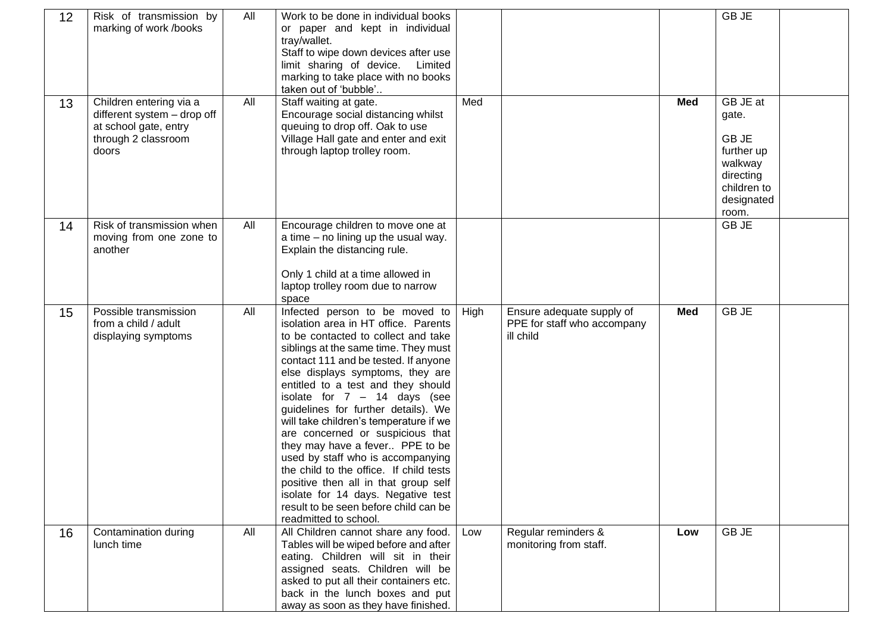| 12 | Risk of transmission by<br>marking of work /books                                                               | All | Work to be done in individual books<br>or paper and kept in individual<br>tray/wallet.<br>Staff to wipe down devices after use<br>limit sharing of device.<br>Limited<br>marking to take place with no books<br>taken out of 'bubble'                                                                                                                                                                                                                                                                                                                                                                                                                                                             |      |                                                                       |            | GB JE                                                                                                        |  |
|----|-----------------------------------------------------------------------------------------------------------------|-----|---------------------------------------------------------------------------------------------------------------------------------------------------------------------------------------------------------------------------------------------------------------------------------------------------------------------------------------------------------------------------------------------------------------------------------------------------------------------------------------------------------------------------------------------------------------------------------------------------------------------------------------------------------------------------------------------------|------|-----------------------------------------------------------------------|------------|--------------------------------------------------------------------------------------------------------------|--|
| 13 | Children entering via a<br>different system - drop off<br>at school gate, entry<br>through 2 classroom<br>doors | All | Staff waiting at gate.<br>Encourage social distancing whilst<br>queuing to drop off. Oak to use<br>Village Hall gate and enter and exit<br>through laptop trolley room.                                                                                                                                                                                                                                                                                                                                                                                                                                                                                                                           | Med  |                                                                       | <b>Med</b> | GB JE at<br>gate.<br><b>GBJE</b><br>further up<br>walkway<br>directing<br>children to<br>designated<br>room. |  |
| 14 | Risk of transmission when<br>moving from one zone to<br>another                                                 | All | Encourage children to move one at<br>a time – no lining up the usual way.<br>Explain the distancing rule.<br>Only 1 child at a time allowed in<br>laptop trolley room due to narrow<br>space                                                                                                                                                                                                                                                                                                                                                                                                                                                                                                      |      |                                                                       |            | GB JE                                                                                                        |  |
| 15 | Possible transmission<br>from a child / adult<br>displaying symptoms                                            | All | Infected person to be moved to<br>isolation area in HT office. Parents<br>to be contacted to collect and take<br>siblings at the same time. They must<br>contact 111 and be tested. If anyone<br>else displays symptoms, they are<br>entitled to a test and they should<br>isolate for $7 - 14$ days (see<br>guidelines for further details). We<br>will take children's temperature if we<br>are concerned or suspicious that<br>they may have a fever PPE to be<br>used by staff who is accompanying<br>the child to the office. If child tests<br>positive then all in that group self<br>isolate for 14 days. Negative test<br>result to be seen before child can be<br>readmitted to school. | High | Ensure adequate supply of<br>PPE for staff who accompany<br>ill child | <b>Med</b> | GB JE                                                                                                        |  |
| 16 | Contamination during<br>lunch time                                                                              | All | All Children cannot share any food.<br>Tables will be wiped before and after<br>eating. Children will sit in their<br>assigned seats. Children will be<br>asked to put all their containers etc.<br>back in the lunch boxes and put<br>away as soon as they have finished.                                                                                                                                                                                                                                                                                                                                                                                                                        | Low  | Regular reminders &<br>monitoring from staff.                         | Low        | <b>GBJE</b>                                                                                                  |  |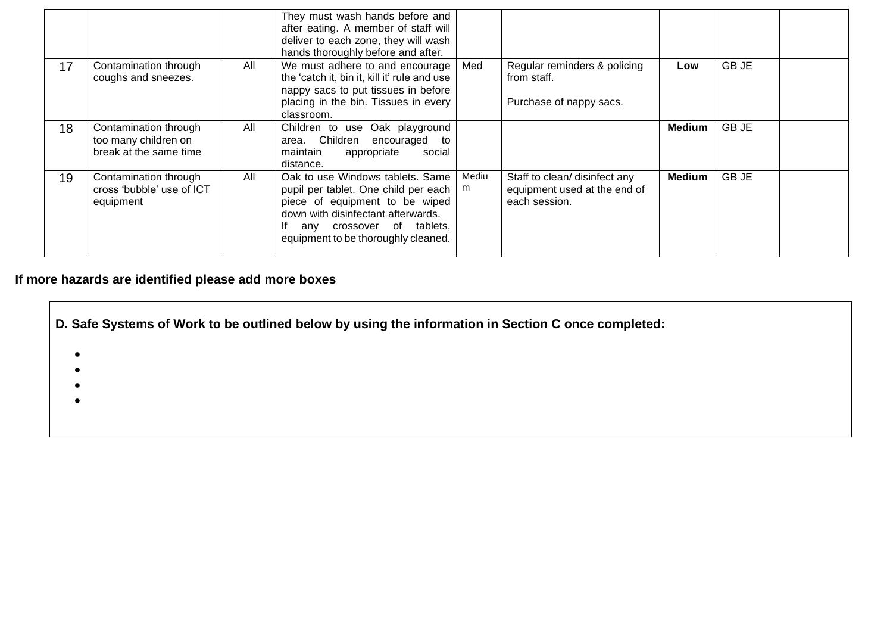|    |                                                                         |     | They must wash hands before and<br>after eating. A member of staff will<br>deliver to each zone, they will wash<br>hands thoroughly before and after.                                                                |            |                                                                                |        |       |  |
|----|-------------------------------------------------------------------------|-----|----------------------------------------------------------------------------------------------------------------------------------------------------------------------------------------------------------------------|------------|--------------------------------------------------------------------------------|--------|-------|--|
| 17 | Contamination through<br>coughs and sneezes.                            | All | We must adhere to and encourage<br>the 'catch it, bin it, kill it' rule and use<br>nappy sacs to put tissues in before<br>placing in the bin. Tissues in every<br>classroom.                                         | Med        | Regular reminders & policing<br>from staff.<br>Purchase of nappy sacs.         | Low    | GB JE |  |
| 18 | Contamination through<br>too many children on<br>break at the same time | All | Children to use Oak playground<br>area. Children<br>encouraged<br>to<br>maintain<br>appropriate<br>social<br>distance.                                                                                               |            |                                                                                | Medium | GB JE |  |
| 19 | Contamination through<br>cross 'bubble' use of ICT<br>equipment         | All | Oak to use Windows tablets. Same<br>pupil per tablet. One child per each<br>piece of equipment to be wiped<br>down with disinfectant afterwards.<br>any crossover of tablets,<br>equipment to be thoroughly cleaned. | Mediu<br>m | Staff to clean/ disinfect any<br>equipment used at the end of<br>each session. | Medium | GB JE |  |

## **If more hazards are identified please add more boxes**

|                        | D. Safe Systems of Work to be outlined below by using the information in Section C once completed: |  |  |  |  |  |  |  |  |  |
|------------------------|----------------------------------------------------------------------------------------------------|--|--|--|--|--|--|--|--|--|
| $\bullet$<br>$\bullet$ |                                                                                                    |  |  |  |  |  |  |  |  |  |
| $\bullet$<br>$\bullet$ |                                                                                                    |  |  |  |  |  |  |  |  |  |
|                        |                                                                                                    |  |  |  |  |  |  |  |  |  |